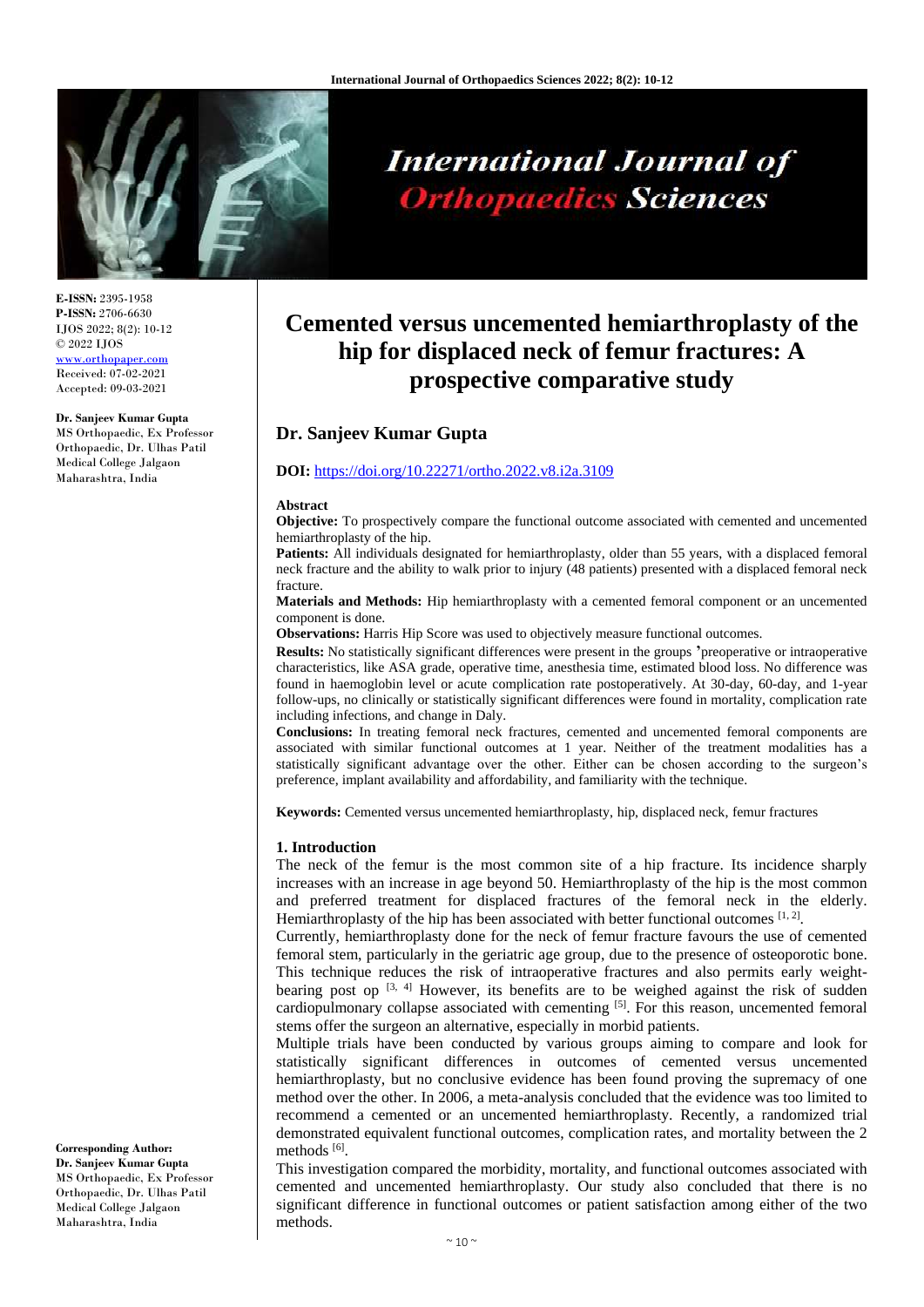

**International Journal of Orthopaedics Sciences** 

# **Cemented versus uncemented hemiarthroplasty of the hip for displaced neck of femur fractures: A prospective comparative study**

# **Dr. Sanjeev Kumar Gupta**

#### **DOI:** <https://doi.org/10.22271/ortho.2022.v8.i2a.3109>

#### **Abstract**

**Objective:** To prospectively compare the functional outcome associated with cemented and uncemented hemiarthroplasty of the hip.

**Patients:** All individuals designated for hemiarthroplasty, older than 55 years, with a displaced femoral neck fracture and the ability to walk prior to injury (48 patients) presented with a displaced femoral neck fracture.

**Materials and Methods:** Hip hemiarthroplasty with a cemented femoral component or an uncemented component is done.

**Observations:** Harris Hip Score was used to objectively measure functional outcomes.

**Results:** No statistically significant differences were present in the groups **'**preoperative or intraoperative characteristics, like ASA grade, operative time, anesthesia time, estimated blood loss. No difference was found in haemoglobin level or acute complication rate postoperatively. At 30-day, 60-day, and 1-year follow-ups, no clinically or statistically significant differences were found in mortality, complication rate including infections, and change in Daly.

**Conclusions:** In treating femoral neck fractures, cemented and uncemented femoral components are associated with similar functional outcomes at 1 year. Neither of the treatment modalities has a statistically significant advantage over the other. Either can be chosen according to the surgeon's preference, implant availability and affordability, and familiarity with the technique.

**Keywords:** Cemented versus uncemented hemiarthroplasty, hip, displaced neck, femur fractures

#### **1. Introduction**

The neck of the femur is the most common site of a hip fracture. Its incidence sharply increases with an increase in age beyond 50. Hemiarthroplasty of the hip is the most common and preferred treatment for displaced fractures of the femoral neck in the elderly. Hemiarthroplasty of the hip has been associated with better functional outcomes  $[1, 2]$ .

Currently, hemiarthroplasty done for the neck of femur fracture favours the use of cemented femoral stem, particularly in the geriatric age group, due to the presence of osteoporotic bone. This technique reduces the risk of intraoperative fractures and also permits early weightbearing post op  $[3, 4]$  However, its benefits are to be weighed against the risk of sudden cardiopulmonary collapse associated with cementing [5]. For this reason, uncemented femoral stems offer the surgeon an alternative, especially in morbid patients.

Multiple trials have been conducted by various groups aiming to compare and look for statistically significant differences in outcomes of cemented versus uncemented hemiarthroplasty, but no conclusive evidence has been found proving the supremacy of one method over the other. In 2006, a meta-analysis concluded that the evidence was too limited to recommend a cemented or an uncemented hemiarthroplasty. Recently, a randomized trial demonstrated equivalent functional outcomes, complication rates, and mortality between the 2 methods [6].

This investigation compared the morbidity, mortality, and functional outcomes associated with cemented and uncemented hemiarthroplasty. Our study also concluded that there is no significant difference in functional outcomes or patient satisfaction among either of the two methods.

**E-ISSN:** 2395-1958 **P-ISSN:** 2706-6630 IJOS 2022; 8(2): 10-12 © 2022 IJOS [www.orthopaper.com](http://www.orthopaper.com/) Received: 07-02-2021 Accepted: 09-03-2021

#### **Dr. Sanjeev Kumar Gupta**

MS Orthopaedic, Ex Professor Orthopaedic, Dr. Ulhas Patil Medical College Jalgaon Maharashtra, India

**Corresponding Author: Dr. Sanjeev Kumar Gupta** MS Orthopaedic, Ex Professor Orthopaedic, Dr. Ulhas Patil Medical College Jalgaon Maharashtra, India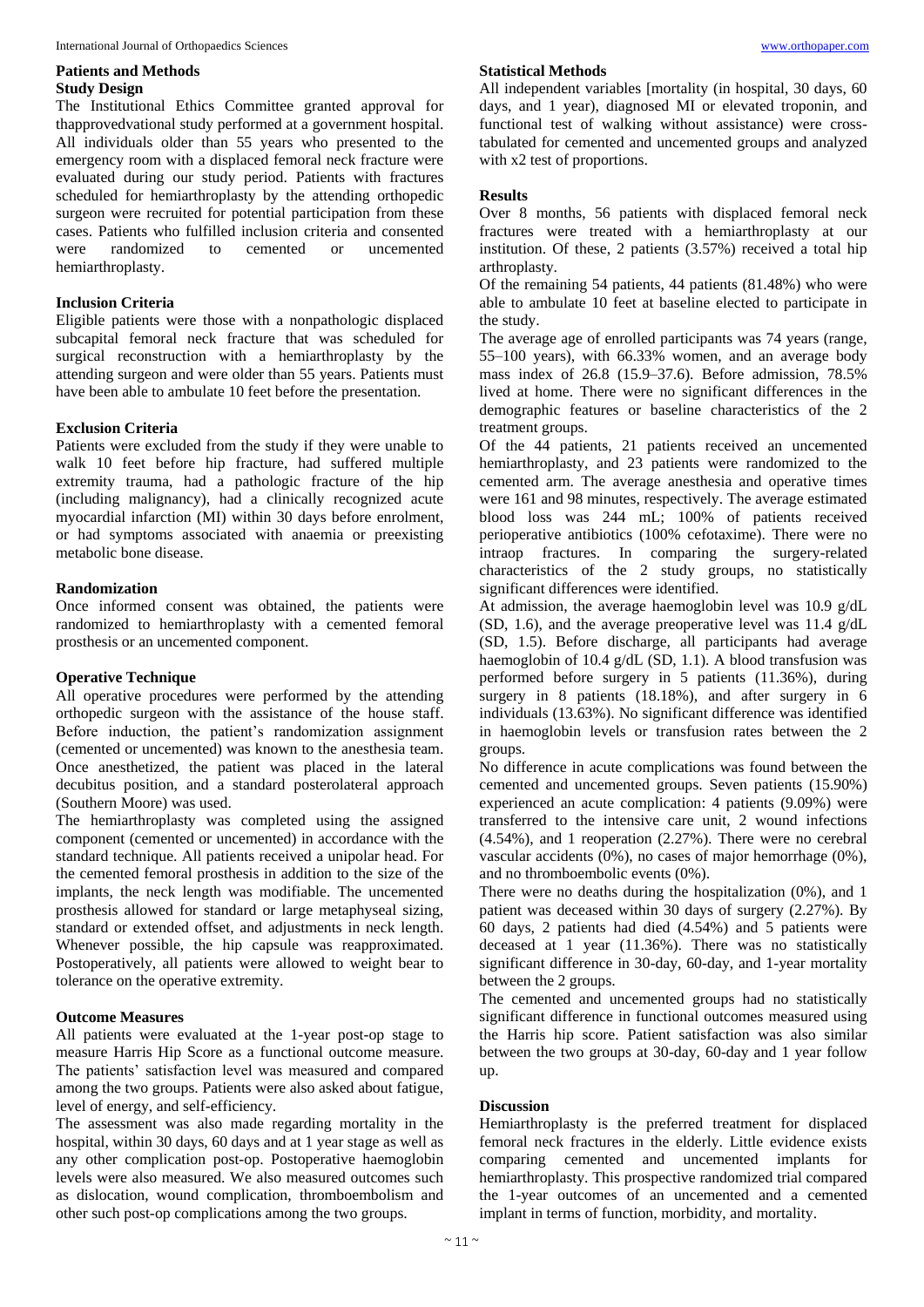#### **Patients and Methods Study Design**

The Institutional Ethics Committee granted approval for thapprovedvational study performed at a government hospital. All individuals older than 55 years who presented to the emergency room with a displaced femoral neck fracture were evaluated during our study period. Patients with fractures scheduled for hemiarthroplasty by the attending orthopedic surgeon were recruited for potential participation from these cases. Patients who fulfilled inclusion criteria and consented were randomized to cemented or uncemented hemiarthroplasty.

## **Inclusion Criteria**

Eligible patients were those with a nonpathologic displaced subcapital femoral neck fracture that was scheduled for surgical reconstruction with a hemiarthroplasty by the attending surgeon and were older than 55 years. Patients must have been able to ambulate 10 feet before the presentation.

## **Exclusion Criteria**

Patients were excluded from the study if they were unable to walk 10 feet before hip fracture, had suffered multiple extremity trauma, had a pathologic fracture of the hip (including malignancy), had a clinically recognized acute myocardial infarction (MI) within 30 days before enrolment, or had symptoms associated with anaemia or preexisting metabolic bone disease.

## **Randomization**

Once informed consent was obtained, the patients were randomized to hemiarthroplasty with a cemented femoral prosthesis or an uncemented component.

## **Operative Technique**

All operative procedures were performed by the attending orthopedic surgeon with the assistance of the house staff. Before induction, the patient's randomization assignment (cemented or uncemented) was known to the anesthesia team. Once anesthetized, the patient was placed in the lateral decubitus position, and a standard posterolateral approach (Southern Moore) was used.

The hemiarthroplasty was completed using the assigned component (cemented or uncemented) in accordance with the standard technique. All patients received a unipolar head. For the cemented femoral prosthesis in addition to the size of the implants, the neck length was modifiable. The uncemented prosthesis allowed for standard or large metaphyseal sizing, standard or extended offset, and adjustments in neck length. Whenever possible, the hip capsule was reapproximated. Postoperatively, all patients were allowed to weight bear to tolerance on the operative extremity.

# **Outcome Measures**

All patients were evaluated at the 1-year post-op stage to measure Harris Hip Score as a functional outcome measure. The patients' satisfaction level was measured and compared among the two groups. Patients were also asked about fatigue, level of energy, and self-efficiency.

The assessment was also made regarding mortality in the hospital, within 30 days, 60 days and at 1 year stage as well as any other complication post-op. Postoperative haemoglobin levels were also measured. We also measured outcomes such as dislocation, wound complication, thromboembolism and other such post-op complications among the two groups.

## **Statistical Methods**

All independent variables [mortality (in hospital, 30 days, 60 days, and 1 year), diagnosed MI or elevated troponin, and functional test of walking without assistance) were crosstabulated for cemented and uncemented groups and analyzed with x2 test of proportions.

## **Results**

Over 8 months, 56 patients with displaced femoral neck fractures were treated with a hemiarthroplasty at our institution. Of these, 2 patients (3.57%) received a total hip arthroplasty.

Of the remaining 54 patients, 44 patients (81.48%) who were able to ambulate 10 feet at baseline elected to participate in the study.

The average age of enrolled participants was 74 years (range, 55–100 years), with 66.33% women, and an average body mass index of 26.8 (15.9–37.6). Before admission, 78.5% lived at home. There were no significant differences in the demographic features or baseline characteristics of the 2 treatment groups.

Of the 44 patients, 21 patients received an uncemented hemiarthroplasty, and 23 patients were randomized to the cemented arm. The average anesthesia and operative times were 161 and 98 minutes, respectively. The average estimated blood loss was 244 mL; 100% of patients received perioperative antibiotics (100% cefotaxime). There were no intraop fractures. In comparing the surgery-related characteristics of the 2 study groups, no statistically significant differences were identified.

At admission, the average haemoglobin level was 10.9 g/dL (SD, 1.6), and the average preoperative level was 11.4 g/dL (SD, 1.5). Before discharge, all participants had average haemoglobin of 10.4 g/dL (SD, 1.1). A blood transfusion was performed before surgery in 5 patients (11.36%), during surgery in 8 patients (18.18%), and after surgery in 6 individuals (13.63%). No significant difference was identified in haemoglobin levels or transfusion rates between the 2 groups.

No difference in acute complications was found between the cemented and uncemented groups. Seven patients (15.90%) experienced an acute complication: 4 patients (9.09%) were transferred to the intensive care unit, 2 wound infections (4.54%), and 1 reoperation (2.27%). There were no cerebral vascular accidents (0%), no cases of major hemorrhage (0%), and no thromboembolic events (0%).

There were no deaths during the hospitalization (0%), and 1 patient was deceased within 30 days of surgery (2.27%). By 60 days, 2 patients had died (4.54%) and 5 patients were deceased at 1 year (11.36%). There was no statistically significant difference in 30-day, 60-day, and 1-year mortality between the 2 groups.

The cemented and uncemented groups had no statistically significant difference in functional outcomes measured using the Harris hip score. Patient satisfaction was also similar between the two groups at 30-day, 60-day and 1 year follow up.

## **Discussion**

Hemiarthroplasty is the preferred treatment for displaced femoral neck fractures in the elderly. Little evidence exists comparing cemented and uncemented implants for hemiarthroplasty. This prospective randomized trial compared the 1-year outcomes of an uncemented and a cemented implant in terms of function, morbidity, and mortality.